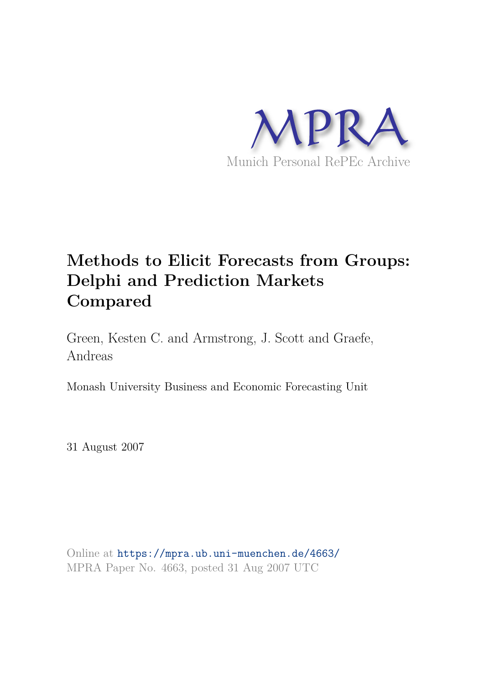

# **Methods to Elicit Forecasts from Groups: Delphi and Prediction Markets Compared**

Green, Kesten C. and Armstrong, J. Scott and Graefe, Andreas

Monash University Business and Economic Forecasting Unit

31 August 2007

Online at https://mpra.ub.uni-muenchen.de/4663/ MPRA Paper No. 4663, posted 31 Aug 2007 UTC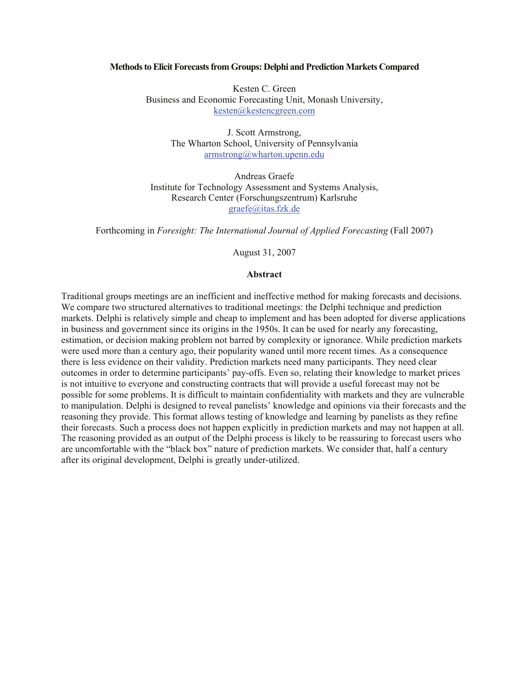#### **Methods to Elicit Forecasts from Groups: Delphi and Prediction Markets Compared**

Kesten C. Green Business and Economic Forecasting Unit, Monash University, kesten@kestencgreen.com

> J. Scott Armstrong, The Wharton School, University of Pennsylvania armstrong@wharton.upenn.edu

Andreas Graefe Institute for Technology Assessment and Systems Analysis, Research Center (Forschungszentrum) Karlsruhe graefe@itas.fzk.de

Forthcoming in *Foresight: The International Journal of Applied Forecasting* (Fall 2007)

August 31, 2007

#### **Abstract**

Traditional groups meetings are an inefficient and ineffective method for making forecasts and decisions. We compare two structured alternatives to traditional meetings: the Delphi technique and prediction markets. Delphi is relatively simple and cheap to implement and has been adopted for diverse applications in business and government since its origins in the 1950s. It can be used for nearly any forecasting, estimation, or decision making problem not barred by complexity or ignorance. While prediction markets were used more than a century ago, their popularity waned until more recent times. As a consequence there is less evidence on their validity. Prediction markets need many participants. They need clear outcomes in order to determine participants' pay-offs. Even so, relating their knowledge to market prices is not intuitive to everyone and constructing contracts that will provide a useful forecast may not be possible for some problems. It is difficult to maintain confidentiality with markets and they are vulnerable to manipulation. Delphi is designed to reveal panelists' knowledge and opinions via their forecasts and the reasoning they provide. This format allows testing of knowledge and learning by panelists as they refine their forecasts. Such a process does not happen explicitly in prediction markets and may not happen at all. The reasoning provided as an output of the Delphi process is likely to be reassuring to forecast users who are uncomfortable with the "black box" nature of prediction markets. We consider that, half a century after its original development, Delphi is greatly under-utilized.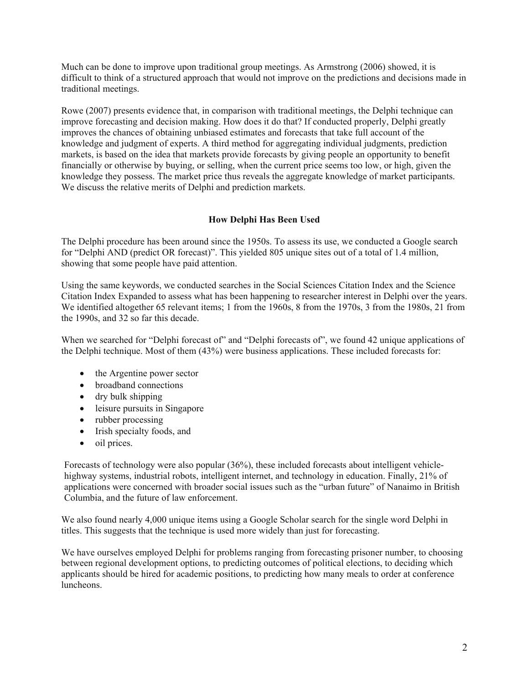Much can be done to improve upon traditional group meetings. As Armstrong (2006) showed, it is difficult to think of a structured approach that would not improve on the predictions and decisions made in traditional meetings.

Rowe (2007) presents evidence that, in comparison with traditional meetings, the Delphi technique can improve forecasting and decision making. How does it do that? If conducted properly, Delphi greatly improves the chances of obtaining unbiased estimates and forecasts that take full account of the knowledge and judgment of experts. A third method for aggregating individual judgments, prediction markets, is based on the idea that markets provide forecasts by giving people an opportunity to benefit financially or otherwise by buying, or selling, when the current price seems too low, or high, given the knowledge they possess. The market price thus reveals the aggregate knowledge of market participants. We discuss the relative merits of Delphi and prediction markets.

# **How Delphi Has Been Used**

The Delphi procedure has been around since the 1950s. To assess its use, we conducted a Google search for "Delphi AND (predict OR forecast)". This yielded 805 unique sites out of a total of 1.4 million, showing that some people have paid attention.

Using the same keywords, we conducted searches in the Social Sciences Citation Index and the Science Citation Index Expanded to assess what has been happening to researcher interest in Delphi over the years. We identified altogether 65 relevant items; 1 from the 1960s, 8 from the 1970s, 3 from the 1980s, 21 from the 1990s, and 32 so far this decade.

When we searched for "Delphi forecast of" and "Delphi forecasts of", we found 42 unique applications of the Delphi technique. Most of them (43%) were business applications. These included forecasts for:

- the Argentine power sector
- broadband connections
- dry bulk shipping
- leisure pursuits in Singapore
- rubber processing
- Irish specialty foods, and
- oil prices.

Forecasts of technology were also popular (36%), these included forecasts about intelligent vehiclehighway systems, industrial robots, intelligent internet, and technology in education. Finally, 21% of applications were concerned with broader social issues such as the "urban future" of Nanaimo in British Columbia, and the future of law enforcement.

We also found nearly 4,000 unique items using a Google Scholar search for the single word Delphi in titles. This suggests that the technique is used more widely than just for forecasting.

We have ourselves employed Delphi for problems ranging from forecasting prisoner number, to choosing between regional development options, to predicting outcomes of political elections, to deciding which applicants should be hired for academic positions, to predicting how many meals to order at conference luncheons.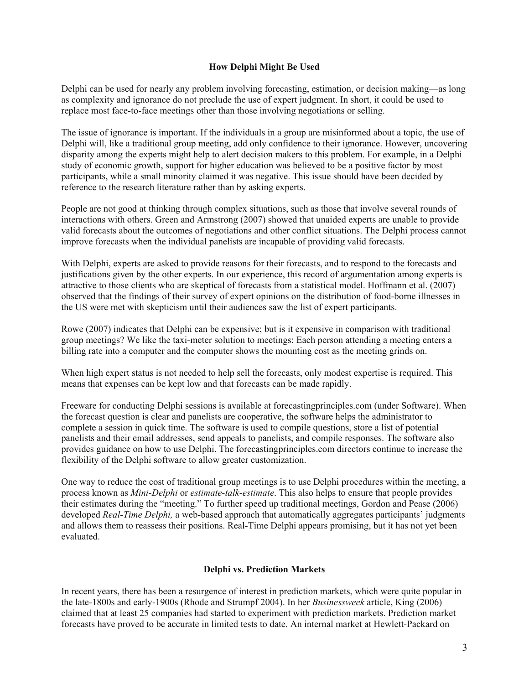# **How Delphi Might Be Used**

Delphi can be used for nearly any problem involving forecasting, estimation, or decision making—as long as complexity and ignorance do not preclude the use of expert judgment. In short, it could be used to replace most face-to-face meetings other than those involving negotiations or selling.

The issue of ignorance is important. If the individuals in a group are misinformed about a topic, the use of Delphi will, like a traditional group meeting, add only confidence to their ignorance. However, uncovering disparity among the experts might help to alert decision makers to this problem. For example, in a Delphi study of economic growth, support for higher education was believed to be a positive factor by most participants, while a small minority claimed it was negative. This issue should have been decided by reference to the research literature rather than by asking experts.

People are not good at thinking through complex situations, such as those that involve several rounds of interactions with others. Green and Armstrong (2007) showed that unaided experts are unable to provide valid forecasts about the outcomes of negotiations and other conflict situations. The Delphi process cannot improve forecasts when the individual panelists are incapable of providing valid forecasts.

With Delphi, experts are asked to provide reasons for their forecasts, and to respond to the forecasts and justifications given by the other experts. In our experience, this record of argumentation among experts is attractive to those clients who are skeptical of forecasts from a statistical model. Hoffmann et al. (2007) observed that the findings of their survey of expert opinions on the distribution of food-borne illnesses in the US were met with skepticism until their audiences saw the list of expert participants.

Rowe (2007) indicates that Delphi can be expensive; but is it expensive in comparison with traditional group meetings? We like the taxi-meter solution to meetings: Each person attending a meeting enters a billing rate into a computer and the computer shows the mounting cost as the meeting grinds on.

When high expert status is not needed to help sell the forecasts, only modest expertise is required. This means that expenses can be kept low and that forecasts can be made rapidly.

Freeware for conducting Delphi sessions is available at forecastingprinciples.com (under Software). When the forecast question is clear and panelists are cooperative, the software helps the administrator to complete a session in quick time. The software is used to compile questions, store a list of potential panelists and their email addresses, send appeals to panelists, and compile responses. The software also provides guidance on how to use Delphi. The forecastingprinciples.com directors continue to increase the flexibility of the Delphi software to allow greater customization.

One way to reduce the cost of traditional group meetings is to use Delphi procedures within the meeting, a process known as *Mini-Delphi* or *estimate-talk-estimate*. This also helps to ensure that people provides their estimates during the "meeting." To further speed up traditional meetings, Gordon and Pease (2006) developed *Real-Time Delphi,* a web-based approach that automatically aggregates participants' judgments and allows them to reassess their positions. Real-Time Delphi appears promising, but it has not yet been evaluated.

## **Delphi vs. Prediction Markets**

In recent years, there has been a resurgence of interest in prediction markets, which were quite popular in the late-1800s and early-1900s (Rhode and Strumpf 2004). In her *Businessweek* article, King (2006) claimed that at least 25 companies had started to experiment with prediction markets. Prediction market forecasts have proved to be accurate in limited tests to date. An internal market at Hewlett-Packard on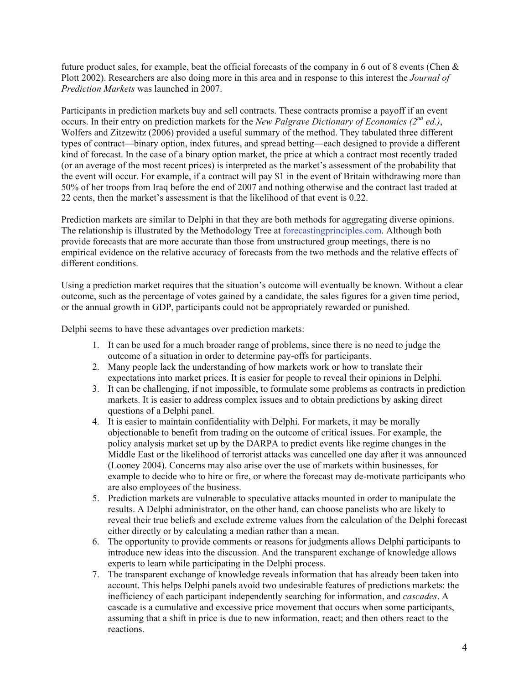future product sales, for example, beat the official forecasts of the company in 6 out of 8 events (Chen & Plott 2002). Researchers are also doing more in this area and in response to this interest the *Journal of Prediction Markets* was launched in 2007.

Participants in prediction markets buy and sell contracts. These contracts promise a payoff if an event occurs. In their entry on prediction markets for the *New Palgrave Dictionary of Economics (2nd ed.)*, Wolfers and Zitzewitz (2006) provided a useful summary of the method. They tabulated three different types of contract—binary option, index futures, and spread betting—each designed to provide a different kind of forecast. In the case of a binary option market, the price at which a contract most recently traded (or an average of the most recent prices) is interpreted as the market's assessment of the probability that the event will occur. For example, if a contract will pay \$1 in the event of Britain withdrawing more than 50% of her troops from Iraq before the end of 2007 and nothing otherwise and the contract last traded at 22 cents, then the market's assessment is that the likelihood of that event is 0.22.

Prediction markets are similar to Delphi in that they are both methods for aggregating diverse opinions. The relationship is illustrated by the Methodology Tree at forecastingprinciples.com. Although both provide forecasts that are more accurate than those from unstructured group meetings, there is no empirical evidence on the relative accuracy of forecasts from the two methods and the relative effects of different conditions.

Using a prediction market requires that the situation's outcome will eventually be known. Without a clear outcome, such as the percentage of votes gained by a candidate, the sales figures for a given time period, or the annual growth in GDP, participants could not be appropriately rewarded or punished.

Delphi seems to have these advantages over prediction markets:

- 1. It can be used for a much broader range of problems, since there is no need to judge the outcome of a situation in order to determine pay-offs for participants.
- 2. Many people lack the understanding of how markets work or how to translate their expectations into market prices. It is easier for people to reveal their opinions in Delphi.
- 3. It can be challenging, if not impossible, to formulate some problems as contracts in prediction markets. It is easier to address complex issues and to obtain predictions by asking direct questions of a Delphi panel.
- 4. It is easier to maintain confidentiality with Delphi. For markets, it may be morally objectionable to benefit from trading on the outcome of critical issues. For example, the policy analysis market set up by the DARPA to predict events like regime changes in the Middle East or the likelihood of terrorist attacks was cancelled one day after it was announced (Looney 2004). Concerns may also arise over the use of markets within businesses, for example to decide who to hire or fire, or where the forecast may de-motivate participants who are also employees of the business.
- 5. Prediction markets are vulnerable to speculative attacks mounted in order to manipulate the results. A Delphi administrator, on the other hand, can choose panelists who are likely to reveal their true beliefs and exclude extreme values from the calculation of the Delphi forecast either directly or by calculating a median rather than a mean.
- 6. The opportunity to provide comments or reasons for judgments allows Delphi participants to introduce new ideas into the discussion. And the transparent exchange of knowledge allows experts to learn while participating in the Delphi process.
- 7. The transparent exchange of knowledge reveals information that has already been taken into account. This helps Delphi panels avoid two undesirable features of predictions markets: the inefficiency of each participant independently searching for information, and *cascades*. A cascade is a cumulative and excessive price movement that occurs when some participants, assuming that a shift in price is due to new information, react; and then others react to the reactions.